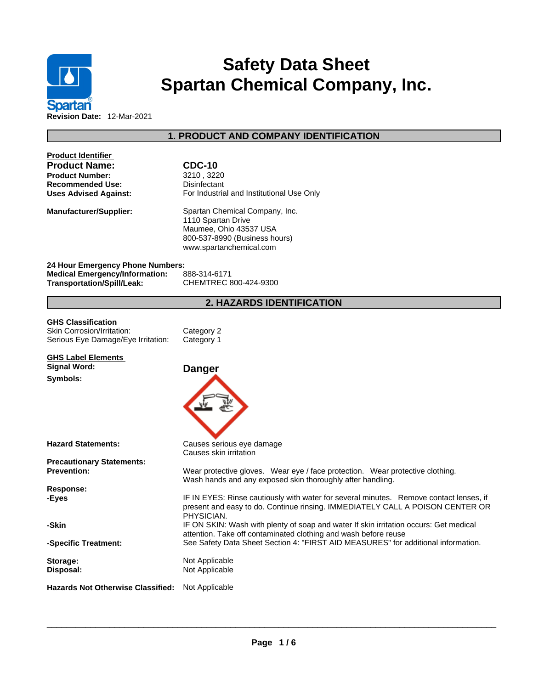

# **Safety Data Sheet Spartan Chemical Company, Inc.**

**Revision Date:** 12-Mar-2021

# **1. PRODUCT AND COMPANY IDENTIFICATION**

| <b>Product Identifier</b><br><b>Product Name:</b><br><b>Product Number:</b><br>Recommended Use:<br><b>Uses Advised Against:</b> | <b>CDC-10</b><br>3210, 3220<br>Disinfectant<br>For Industrial and Institutional Use Only                                                                                                                                                                    |
|---------------------------------------------------------------------------------------------------------------------------------|-------------------------------------------------------------------------------------------------------------------------------------------------------------------------------------------------------------------------------------------------------------|
| Manufacturer/Supplier:                                                                                                          | Spartan Chemical Company, Inc.<br>1110 Spartan Drive<br>Maumee, Ohio 43537 USA<br>800-537-8990 (Business hours)<br>www.spartanchemical.com                                                                                                                  |
| 24 Hour Emergency Phone Numbers:<br><b>Medical Emergency/Information:</b><br><b>Transportation/Spill/Leak:</b>                  | 888-314-6171<br>CHEMTREC 800-424-9300                                                                                                                                                                                                                       |
|                                                                                                                                 | 2. HAZARDS IDENTIFICATION                                                                                                                                                                                                                                   |
| <b>GHS Classification</b><br>Skin Corrosion/Irritation:<br>Serious Eye Damage/Eye Irritation:                                   | Category 2<br>Category 1                                                                                                                                                                                                                                    |
| <b>GHS Label Elements</b><br>Signal Word:<br>Symbols:                                                                           | <b>Danger</b>                                                                                                                                                                                                                                               |
| <b>Hazard Statements:</b><br><b>Precautionary Statements:</b><br><b>Prevention:</b>                                             | Causes serious eye damage<br>Causes skin irritation<br>Wear protective gloves. Wear eye / face protection. Wear protective clothing.                                                                                                                        |
| <b>Response:</b><br>-Eyes                                                                                                       | Wash hands and any exposed skin thoroughly after handling.<br>IF IN EYES: Rinse cautiously with water for several minutes. Remove contact lenses, if<br>present and easy to do. Continue rinsing. IMMEDIATELY CALL A POISON CENTER OR                       |
| -Skin<br>-Specific Treatment:                                                                                                   | PHYSICIAN.<br>IF ON SKIN: Wash with plenty of soap and water If skin irritation occurs: Get medical<br>attention. Take off contaminated clothing and wash before reuse<br>See Safety Data Sheet Section 4: "FIRST AID MEASURES" for additional information. |
| Storage:<br>Disposal:                                                                                                           | Not Applicable<br>Not Applicable                                                                                                                                                                                                                            |
| <b>Hazards Not Otherwise Classified:</b> Not Applicable                                                                         |                                                                                                                                                                                                                                                             |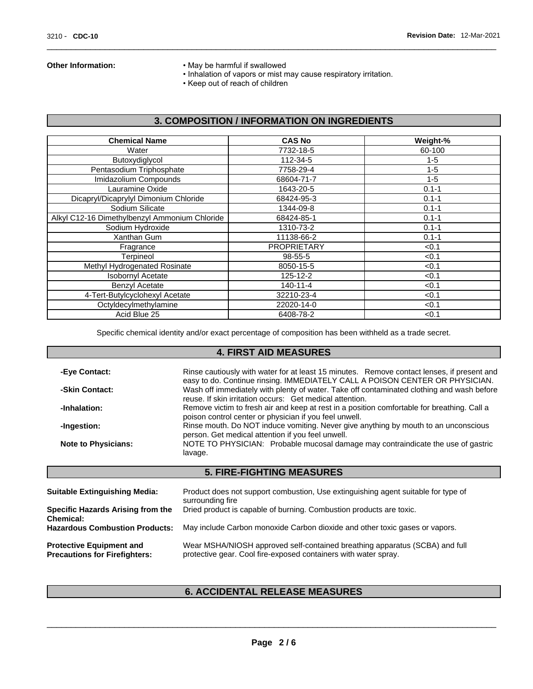ſ

- **Other Information:** May be harmful if swallowed
	- Inhalation of vapors or mist may cause respiratory irritation.
	- Keep out of reach of children

# **3. COMPOSITION / INFORMATION ON INGREDIENTS**

| <b>Chemical Name</b>                          | <b>CAS No</b>      | Weight-%  |
|-----------------------------------------------|--------------------|-----------|
| Water                                         | 7732-18-5          | 60-100    |
| Butoxydiglycol                                | 112-34-5           | $1 - 5$   |
| Pentasodium Triphosphate                      | 7758-29-4          | $1 - 5$   |
| Imidazolium Compounds                         | 68604-71-7         | $1 - 5$   |
| Lauramine Oxide                               | 1643-20-5          | $0.1 - 1$ |
| Dicapryl/Dicaprylyl Dimonium Chloride         | 68424-95-3         | $0.1 - 1$ |
| Sodium Silicate                               | 1344-09-8          | $0.1 - 1$ |
| Alkyl C12-16 Dimethylbenzyl Ammonium Chloride | 68424-85-1         | $0.1 - 1$ |
| Sodium Hydroxide                              | 1310-73-2          | $0.1 - 1$ |
| Xanthan Gum                                   | 11138-66-2         | $0.1 - 1$ |
| Fragrance                                     | <b>PROPRIETARY</b> | < 0.1     |
| Terpineol                                     | 98-55-5            | < 0.1     |
| Methyl Hydrogenated Rosinate                  | 8050-15-5          | < 0.1     |
| <b>Isobornyl Acetate</b>                      | 125-12-2           | < 0.1     |
| <b>Benzyl Acetate</b>                         | $140 - 11 - 4$     | < 0.1     |
| 4-Tert-Butylcyclohexyl Acetate                | 32210-23-4         | < 0.1     |
| Octyldecylmethylamine                         | 22020-14-0         | < 0.1     |
| Acid Blue 25                                  | 6408-78-2          | < 0.1     |

Specific chemical identity and/or exact percentage of composition has been withheld as a trade secret.

#### **4. FIRST AID MEASURES**

| -Eye Contact:              | Rinse cautiously with water for at least 15 minutes. Remove contact lenses, if present and<br>easy to do. Continue rinsing. IMMEDIATELY CALL A POISON CENTER OR PHYSICIAN. |
|----------------------------|----------------------------------------------------------------------------------------------------------------------------------------------------------------------------|
| -Skin Contact:             | Wash off immediately with plenty of water. Take off contaminated clothing and wash before<br>reuse. If skin irritation occurs: Get medical attention.                      |
| -Inhalation:               | Remove victim to fresh air and keep at rest in a position comfortable for breathing. Call a<br>poison control center or physician if you feel unwell.                      |
| -Ingestion:                | Rinse mouth. Do NOT induce vomiting. Never give anything by mouth to an unconscious<br>person. Get medical attention if you feel unwell.                                   |
| <b>Note to Physicians:</b> | NOTE TO PHYSICIAN: Probable mucosal damage may contraindicate the use of gastric<br>lavage.                                                                                |
|                            | <b>5. FIRE-FIGHTING MEASURES</b>                                                                                                                                           |

| <b>Protective Equipment and</b><br><b>Precautions for Firefighters:</b> | Wear MSHA/NIOSH approved self-contained breathing apparatus (SCBA) and full<br>protective gear. Cool fire-exposed containers with water spray. |
|-------------------------------------------------------------------------|------------------------------------------------------------------------------------------------------------------------------------------------|
| Chemical:<br><b>Hazardous Combustion Products:</b>                      | May include Carbon monoxide Carbon dioxide and other toxic gases or vapors.                                                                    |
| Specific Hazards Arising from the                                       | Dried product is capable of burning. Combustion products are toxic.                                                                            |
| <b>SUILADIC EXUILQUISITIILY MEGIA.</b>                                  | Product does not support compusion, Ose examgelsming agent suitable for type of<br>surrounding fire                                            |

## **6. ACCIDENTAL RELEASE MEASURES**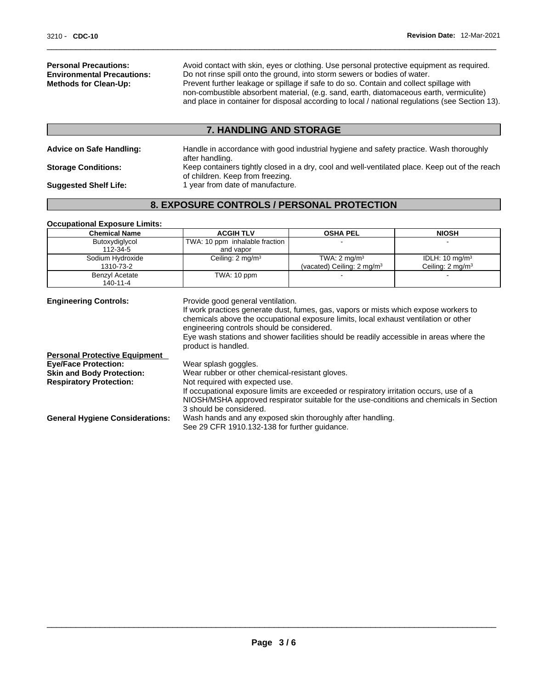**Personal Precautions:** Avoid contact with skin, eyes or clothing. Use personal protective equipment as required.<br> **Environmental Precautions:** Do not rinse spill onto the ground, into storm sewers or bodies of water. **Environmental Precautions:** Do not rinse spill onto the ground, into storm sewers or bodies of water.<br> **Methods for Clean-Up:** Prevent further leakage or spillage if safe to do so. Contain and collect s Prevent further leakage or spillage if safe to do so. Contain and collect spillage with non-combustible absorbent material, (e.g. sand, earth, diatomaceous earth, vermiculite) and place in container for disposal according to local / national regulations (see Section 13).

#### **7. HANDLING AND STORAGE**

| <b>Advice on Safe Handling:</b> | Handle in accordance with good industrial hygiene and safety practice. Wash thoroughly<br>after handling.                          |
|---------------------------------|------------------------------------------------------------------------------------------------------------------------------------|
| <b>Storage Conditions:</b>      | Keep containers tightly closed in a dry, cool and well-ventilated place. Keep out of the reach<br>of children. Keep from freezing. |
| <b>Suggested Shelf Life:</b>    | 1 year from date of manufacture.                                                                                                   |

# **8. EXPOSURE CONTROLS / PERSONAL PROTECTION**

#### **Occupational Exposure Limits:**

| <b>ACGIH TLV</b>                                                                                                                                                                                                                                                                                                                                                                           | <b>OSHA PEL</b>                        | <b>NIOSH</b>                |
|--------------------------------------------------------------------------------------------------------------------------------------------------------------------------------------------------------------------------------------------------------------------------------------------------------------------------------------------------------------------------------------------|----------------------------------------|-----------------------------|
| TWA: 10 ppm inhalable fraction                                                                                                                                                                                                                                                                                                                                                             |                                        |                             |
| and vapor                                                                                                                                                                                                                                                                                                                                                                                  |                                        |                             |
| Ceiling: $2 \text{ mg/m}^3$                                                                                                                                                                                                                                                                                                                                                                | TWA: $2 \text{ mg/m}^3$                | IDLH: $10 \text{ mg/m}^3$   |
|                                                                                                                                                                                                                                                                                                                                                                                            | (vacated) Ceiling: 2 mg/m <sup>3</sup> | Ceiling: $2 \text{ mg/m}^3$ |
| TWA: 10 ppm                                                                                                                                                                                                                                                                                                                                                                                |                                        |                             |
|                                                                                                                                                                                                                                                                                                                                                                                            |                                        |                             |
| <b>Engineering Controls:</b><br>Provide good general ventilation.<br>If work practices generate dust, fumes, gas, vapors or mists which expose workers to<br>chemicals above the occupational exposure limits, local exhaust ventilation or other<br>engineering controls should be considered.<br>Eye wash stations and shower facilities should be readily accessible in areas where the |                                        |                             |
|                                                                                                                                                                                                                                                                                                                                                                                            |                                        |                             |

|                                        | product is handled.                                                                     |
|----------------------------------------|-----------------------------------------------------------------------------------------|
| <b>Personal Protective Equipment</b>   |                                                                                         |
| <b>Eye/Face Protection:</b>            | Wear splash goggles.                                                                    |
| <b>Skin and Body Protection:</b>       | Wear rubber or other chemical-resistant gloves.                                         |
| <b>Respiratory Protection:</b>         | Not required with expected use.                                                         |
|                                        | If occupational exposure limits are exceeded or respiratory irritation occurs, use of a |
|                                        | NIOSH/MSHA approved respirator suitable for the use-conditions and chemicals in Section |
|                                        | 3 should be considered.                                                                 |
| <b>General Hygiene Considerations:</b> | Wash hands and any exposed skin thoroughly after handling.                              |
|                                        | See 29 CFR 1910.132-138 for further guidance.                                           |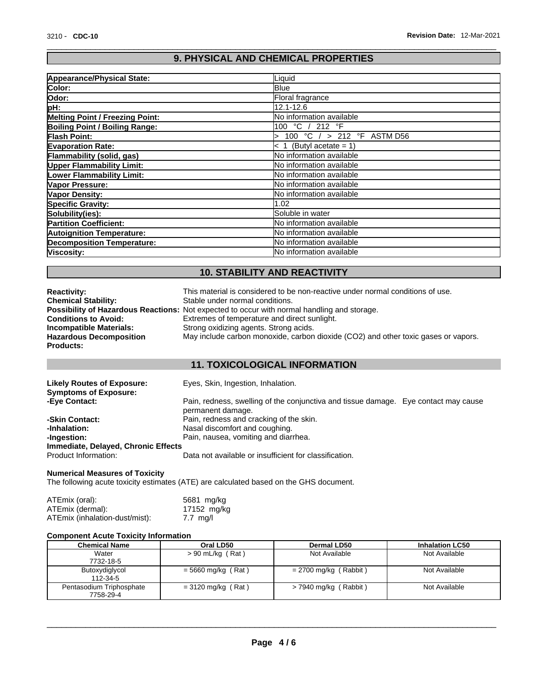# **9. PHYSICAL AND CHEMICAL PROPERTIES**

| <b>Appearance/Physical State:</b>      | Liquid                             |
|----------------------------------------|------------------------------------|
| Color:                                 | <b>Blue</b>                        |
| Odor:                                  | Floral fragrance                   |
| pH:                                    | 12.1-12.6                          |
| <b>Melting Point / Freezing Point:</b> | No information available           |
| <b>Boiling Point / Boiling Range:</b>  | 100 °C / 212 °F                    |
| <b>Flash Point:</b>                    | 100 °C / > 212 °F ASTM D56         |
| <b>Evaporation Rate:</b>               | (Butyl acetate = $1$ )<br>$\leq 1$ |
| Flammability (solid, gas)              | <b>No information available</b>    |
| <b>Upper Flammability Limit:</b>       | <b>INo information available</b>   |
| <b>Lower Flammability Limit:</b>       | No information available           |
| Vapor Pressure:                        | <b>No information available</b>    |
| <b>Vapor Density:</b>                  | <b>No information available</b>    |
| <b>Specific Gravity:</b>               | 1.02                               |
| Solubility(ies):                       | Soluble in water                   |
| <b>Partition Coefficient:</b>          | No information available           |
| <b>Autoignition Temperature:</b>       | <b>No information available</b>    |
| <b>Decomposition Temperature:</b>      | <b>No information available</b>    |
| Viscosity:                             | <b>No information available</b>    |

# **10. STABILITY AND REACTIVITY**

| <b>Reactivity:</b>             | This material is considered to be non-reactive under normal conditions of use.                     |
|--------------------------------|----------------------------------------------------------------------------------------------------|
| <b>Chemical Stability:</b>     | Stable under normal conditions.                                                                    |
|                                | <b>Possibility of Hazardous Reactions:</b> Not expected to occur with normal handling and storage. |
| <b>Conditions to Avoid:</b>    | Extremes of temperature and direct sunlight.                                                       |
| Incompatible Materials:        | Strong oxidizing agents. Strong acids.                                                             |
| <b>Hazardous Decomposition</b> | May include carbon monoxide, carbon dioxide (CO2) and other toxic gases or vapors.                 |
| <b>Products:</b>               |                                                                                                    |

# **11. TOXICOLOGICAL INFORMATION**

| <b>Likely Routes of Exposure:</b><br><b>Symptoms of Exposure:</b> | Eyes, Skin, Ingestion, Inhalation.                                                                       |
|-------------------------------------------------------------------|----------------------------------------------------------------------------------------------------------|
| -Eye Contact:                                                     | Pain, redness, swelling of the conjunctiva and tissue damage. Eye contact may cause<br>permanent damage. |
| -Skin Contact:                                                    | Pain, redness and cracking of the skin.                                                                  |
| -Inhalation:                                                      | Nasal discomfort and coughing.                                                                           |
| -Ingestion:                                                       | Pain, nausea, vomiting and diarrhea.                                                                     |
| Immediate, Delayed, Chronic Effects                               |                                                                                                          |
| Product Information:                                              | Data not available or insufficient for classification.                                                   |

#### **Numerical Measures of Toxicity**

The following acute toxicity estimates (ATE) are calculated based on the GHS document.

| ATEmix (oral):                 | 5681 mg/kg          |  |
|--------------------------------|---------------------|--|
| ATEmix (dermal):               | 17152 mg/kg         |  |
| ATEmix (inhalation-dust/mist): | $7.7 \text{ m}$ g/l |  |

#### **Component Acute Toxicity Information**

| Chemical Name            | Oral LD50            | <b>Dermal LD50</b>      | <b>Inhalation LC50</b> |
|--------------------------|----------------------|-------------------------|------------------------|
| Water                    | $> 90$ mL/kg (Rat)   | Not Available           | Not Available          |
| 7732-18-5                |                      |                         |                        |
| Butoxydiglycol           | $=$ 5660 mg/kg (Rat) | $= 2700$ mg/kg (Rabbit) | Not Available          |
| 112-34-5                 |                      |                         |                        |
| Pentasodium Triphosphate | $= 3120$ mg/kg (Rat) | $>$ 7940 mg/kg (Rabbit) | Not Available          |
| 7758-29-4                |                      |                         |                        |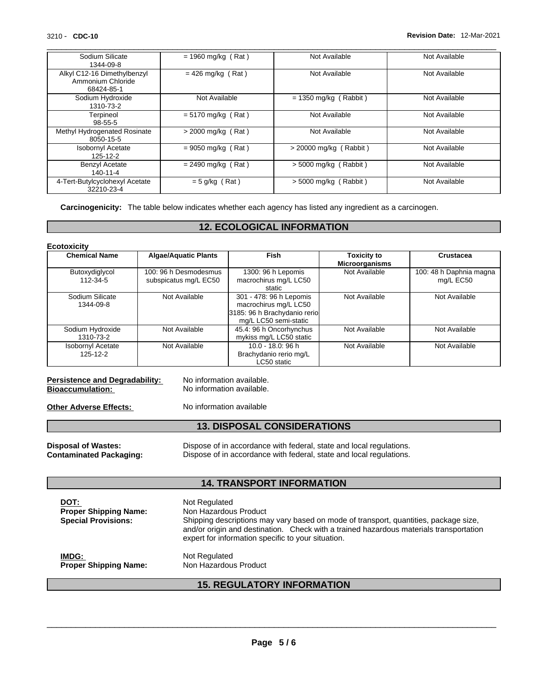| 3210 - CDC-10                                                  |                      |                         | Revision Date: 12-Mar-2021 |
|----------------------------------------------------------------|----------------------|-------------------------|----------------------------|
| Sodium Silicate<br>1344-09-8                                   | $= 1960$ mg/kg (Rat) | Not Available           | Not Available              |
| Alkyl C12-16 Dimethylbenzyl<br>Ammonium Chloride<br>68424-85-1 | $= 426$ mg/kg (Rat)  | Not Available           | Not Available              |
| Sodium Hydroxide<br>1310-73-2                                  | Not Available        | $= 1350$ mg/kg (Rabbit) | Not Available              |
| Terpineol<br>$98 - 55 - 5$                                     | $= 5170$ mg/kg (Rat) | Not Available           | Not Available              |
| Methyl Hydrogenated Rosinate<br>8050-15-5                      | $>$ 2000 mg/kg (Rat) | Not Available           | Not Available              |
| <b>Isobornyl Acetate</b><br>125-12-2                           | $= 9050$ mg/kg (Rat) | > 20000 mg/kg (Rabbit)  | Not Available              |
| <b>Benzyl Acetate</b><br>140-11-4                              | $= 2490$ mg/kg (Rat) | $> 5000$ mg/kg (Rabbit) | Not Available              |
| 4-Tert-Butylcyclohexyl Acetate<br>32210-23-4                   | $= 5$ g/kg (Rat)     | $>$ 5000 mg/kg (Rabbit) | Not Available              |

Carcinogenicity: The table below indicates whether each agency has listed any ingredient as a carcinogen.

# **12. ECOLOGICAL INFORMATION**

| Ecotoxicity |
|-------------|
|-------------|

| <b>Chemical Name</b>                 | <b>Algae/Aquatic Plants</b>                    | <b>Fish</b>                                                                                               | <b>Toxicity to</b><br><b>Microorganisms</b> | Crustacea                            |  |
|--------------------------------------|------------------------------------------------|-----------------------------------------------------------------------------------------------------------|---------------------------------------------|--------------------------------------|--|
| Butoxydiglycol<br>112-34-5           | 100: 96 h Desmodesmus<br>subspicatus mg/L EC50 | Not Available<br>1300: 96 h Lepomis<br>macrochirus mg/L LC50<br>static                                    |                                             | 100: 48 h Daphnia magna<br>mg/L EC50 |  |
| Sodium Silicate<br>1344-09-8         | Not Available                                  | 301 - 478: 96 h Lepomis<br>macrochirus mg/L LC50<br>3185: 96 h Brachydanio rerio<br>mg/L LC50 semi-static | Not Available                               | Not Available                        |  |
| Sodium Hydroxide<br>1310-73-2        | Not Available                                  | 45.4: 96 h Oncorhynchus<br>mykiss mg/L LC50 static                                                        | Not Available                               | Not Available                        |  |
| <b>Isobornyl Acetate</b><br>125-12-2 | Not Available                                  | $10.0 - 18.0$ : 96 h<br>Brachydanio rerio mg/L<br>LC50 static                                             | Not Available                               | Not Available                        |  |

# **Persistence and Degradability:** No information available.<br> **Bioaccumulation:** No information available.

**No information available.** 

**Other Adverse Effects:** No information available

## **13. DISPOSAL CONSIDERATIONS**

**Disposal of Wastes:** Dispose of in accordance with federal, state and local regulations.<br> **Contaminated Packaging:** Dispose of in accordance with federal, state and local regulations. Dispose of in accordance with federal, state and local regulations.

### **14. TRANSPORT INFORMATION**

| DOT:<br><b>Proper Shipping Name:</b><br><b>Special Provisions:</b> | Not Regulated<br>Non Hazardous Product<br>Shipping descriptions may vary based on mode of transport, quantities, package size,<br>and/or origin and destination. Check with a trained hazardous materials transportation<br>expert for information specific to your situation. |
|--------------------------------------------------------------------|--------------------------------------------------------------------------------------------------------------------------------------------------------------------------------------------------------------------------------------------------------------------------------|
| IMDG:                                                              | Not Regulated                                                                                                                                                                                                                                                                  |
| <b>Proper Shipping Name:</b>                                       | Non Hazardous Product                                                                                                                                                                                                                                                          |

# **15. REGULATORY INFORMATION**